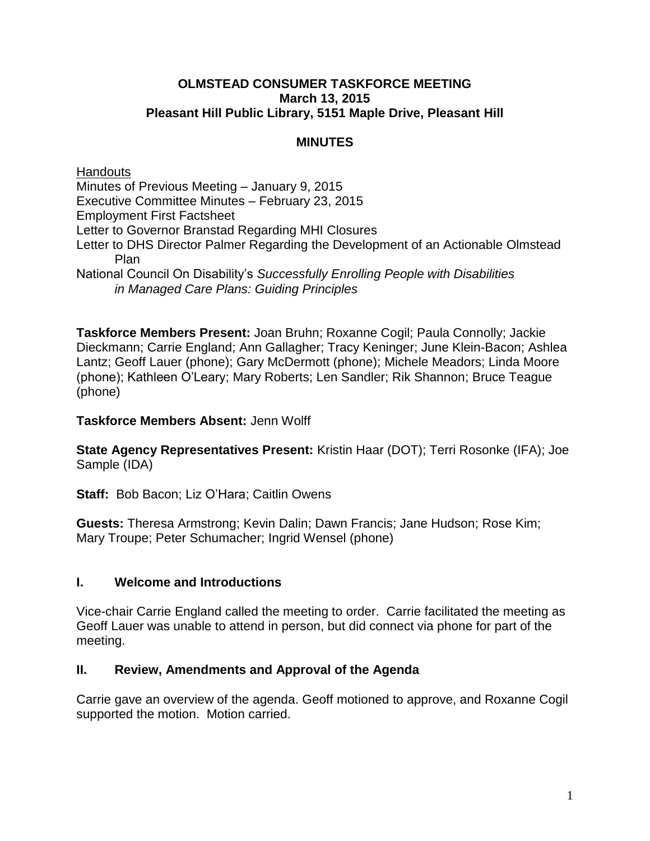#### **OLMSTEAD CONSUMER TASKFORCE MEETING March 13, 2015 Pleasant Hill Public Library, 5151 Maple Drive, Pleasant Hill**

## **MINUTES**

**Handouts** Minutes of Previous Meeting – January 9, 2015 Executive Committee Minutes – February 23, 2015 Employment First Factsheet Letter to Governor Branstad Regarding MHI Closures Letter to DHS Director Palmer Regarding the Development of an Actionable Olmstead Plan National Council On Disability's *Successfully Enrolling People with Disabilities in Managed Care Plans: Guiding Principles*

**Taskforce Members Present:** Joan Bruhn; Roxanne Cogil; Paula Connolly; Jackie Dieckmann; Carrie England; Ann Gallagher; Tracy Keninger; June Klein-Bacon; Ashlea Lantz; Geoff Lauer (phone); Gary McDermott (phone); Michele Meadors; Linda Moore (phone); Kathleen O'Leary; Mary Roberts; Len Sandler; Rik Shannon; Bruce Teague (phone)

### **Taskforce Members Absent:** Jenn Wolff

**State Agency Representatives Present:** Kristin Haar (DOT); Terri Rosonke (IFA); Joe Sample (IDA)

**Staff:** Bob Bacon; Liz O'Hara; Caitlin Owens

**Guests:** Theresa Armstrong; Kevin Dalin; Dawn Francis; Jane Hudson; Rose Kim; Mary Troupe; Peter Schumacher; Ingrid Wensel (phone)

### **I. Welcome and Introductions**

Vice-chair Carrie England called the meeting to order. Carrie facilitated the meeting as Geoff Lauer was unable to attend in person, but did connect via phone for part of the meeting.

### **II. Review, Amendments and Approval of the Agenda**

Carrie gave an overview of the agenda. Geoff motioned to approve, and Roxanne Cogil supported the motion. Motion carried.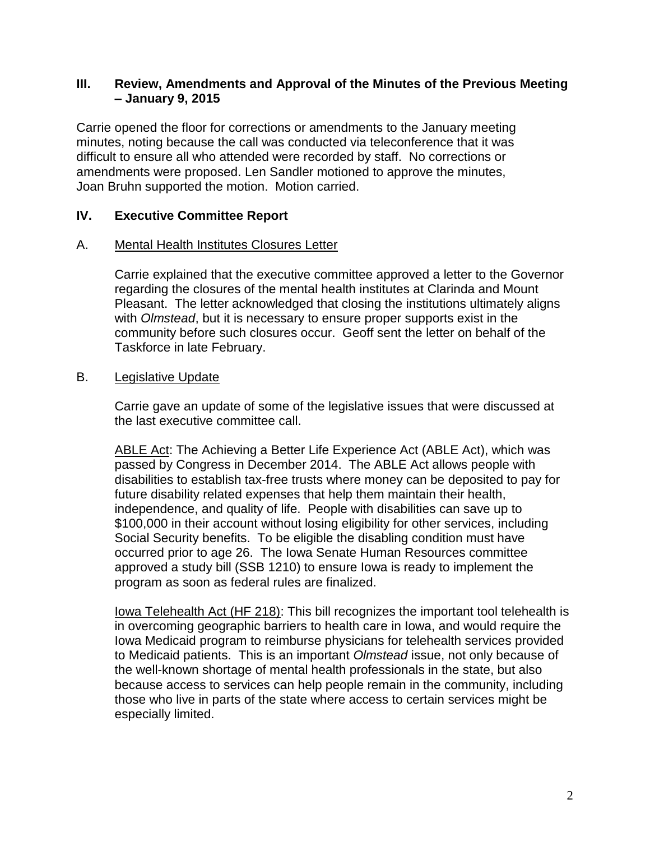### **III. Review, Amendments and Approval of the Minutes of the Previous Meeting – January 9, 2015**

Carrie opened the floor for corrections or amendments to the January meeting minutes, noting because the call was conducted via teleconference that it was difficult to ensure all who attended were recorded by staff. No corrections or amendments were proposed. Len Sandler motioned to approve the minutes, Joan Bruhn supported the motion. Motion carried.

### **IV. Executive Committee Report**

### A. Mental Health Institutes Closures Letter

Carrie explained that the executive committee approved a letter to the Governor regarding the closures of the mental health institutes at Clarinda and Mount Pleasant. The letter acknowledged that closing the institutions ultimately aligns with *Olmstead*, but it is necessary to ensure proper supports exist in the community before such closures occur. Geoff sent the letter on behalf of the Taskforce in late February.

### B. Legislative Update

Carrie gave an update of some of the legislative issues that were discussed at the last executive committee call.

ABLE Act: The Achieving a Better Life Experience Act (ABLE Act), which was passed by Congress in December 2014. The ABLE Act allows people with disabilities to establish tax-free trusts where money can be deposited to pay for future disability related expenses that help them maintain their health, independence, and quality of life. People with disabilities can save up to \$100,000 in their account without losing eligibility for other services, including Social Security benefits. To be eligible the disabling condition must have occurred prior to age 26. The Iowa Senate Human Resources committee approved a study bill (SSB 1210) to ensure Iowa is ready to implement the program as soon as federal rules are finalized.

Iowa Telehealth Act (HF 218): This bill recognizes the important tool telehealth is in overcoming geographic barriers to health care in Iowa, and would require the Iowa Medicaid program to reimburse physicians for telehealth services provided to Medicaid patients. This is an important *Olmstead* issue, not only because of the well-known shortage of mental health professionals in the state, but also because access to services can help people remain in the community, including those who live in parts of the state where access to certain services might be especially limited.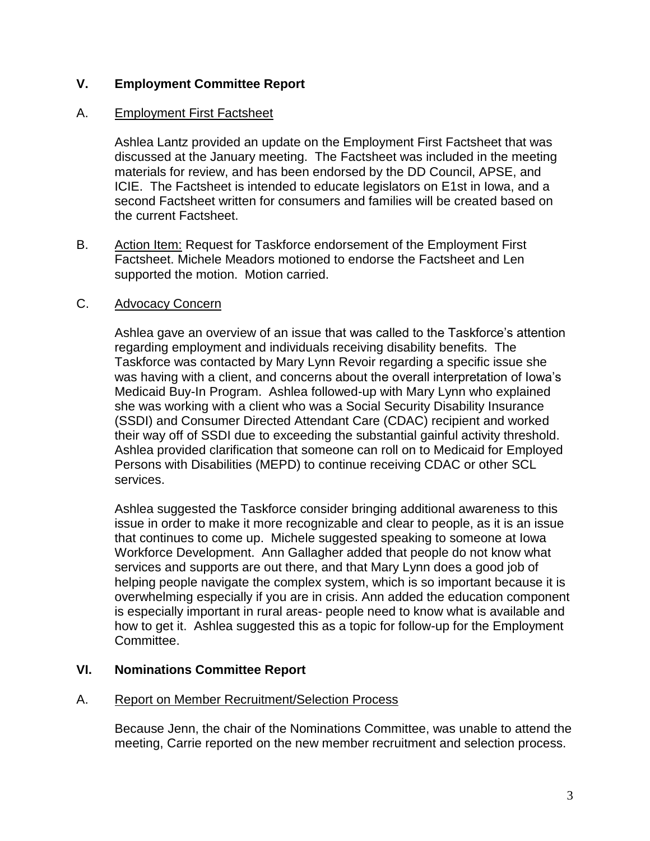### **V. Employment Committee Report**

### A. Employment First Factsheet

Ashlea Lantz provided an update on the Employment First Factsheet that was discussed at the January meeting. The Factsheet was included in the meeting materials for review, and has been endorsed by the DD Council, APSE, and ICIE. The Factsheet is intended to educate legislators on E1st in Iowa, and a second Factsheet written for consumers and families will be created based on the current Factsheet.

B. Action Item: Request for Taskforce endorsement of the Employment First Factsheet. Michele Meadors motioned to endorse the Factsheet and Len supported the motion. Motion carried.

### C. Advocacy Concern

Ashlea gave an overview of an issue that was called to the Taskforce's attention regarding employment and individuals receiving disability benefits. The Taskforce was contacted by Mary Lynn Revoir regarding a specific issue she was having with a client, and concerns about the overall interpretation of Iowa's Medicaid Buy-In Program. Ashlea followed-up with Mary Lynn who explained she was working with a client who was a Social Security Disability Insurance (SSDI) and Consumer Directed Attendant Care (CDAC) recipient and worked their way off of SSDI due to exceeding the substantial gainful activity threshold. Ashlea provided clarification that someone can roll on to Medicaid for Employed Persons with Disabilities (MEPD) to continue receiving CDAC or other SCL services.

 Ashlea suggested the Taskforce consider bringing additional awareness to this issue in order to make it more recognizable and clear to people, as it is an issue that continues to come up. Michele suggested speaking to someone at Iowa Workforce Development. Ann Gallagher added that people do not know what services and supports are out there, and that Mary Lynn does a good job of helping people navigate the complex system, which is so important because it is overwhelming especially if you are in crisis. Ann added the education component is especially important in rural areas- people need to know what is available and how to get it. Ashlea suggested this as a topic for follow-up for the Employment Committee.

### **VI. Nominations Committee Report**

### A. Report on Member Recruitment/Selection Process

Because Jenn, the chair of the Nominations Committee, was unable to attend the meeting, Carrie reported on the new member recruitment and selection process.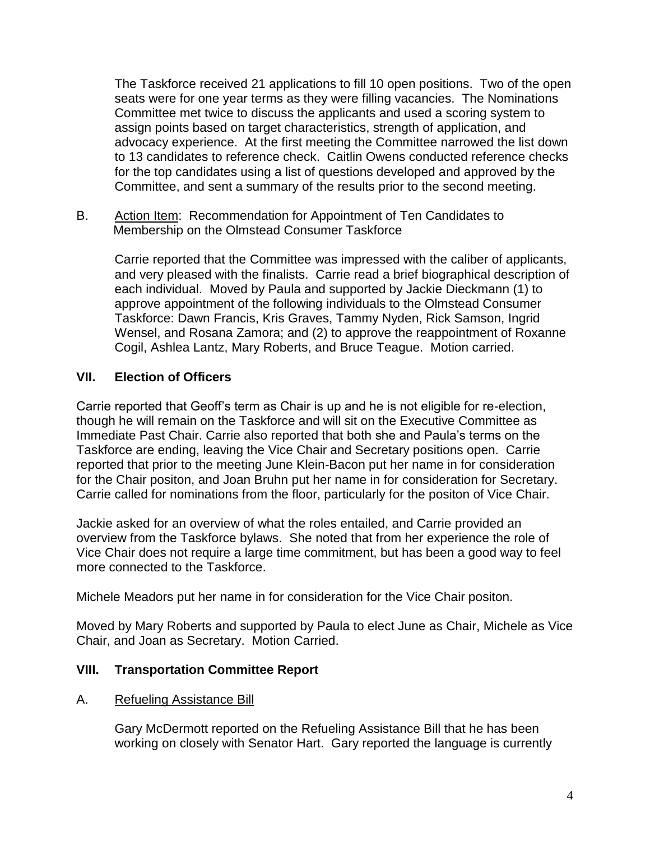The Taskforce received 21 applications to fill 10 open positions. Two of the open seats were for one year terms as they were filling vacancies. The Nominations Committee met twice to discuss the applicants and used a scoring system to assign points based on target characteristics, strength of application, and advocacy experience. At the first meeting the Committee narrowed the list down to 13 candidates to reference check. Caitlin Owens conducted reference checks for the top candidates using a list of questions developed and approved by the Committee, and sent a summary of the results prior to the second meeting.

B. Action Item: Recommendation for Appointment of Ten Candidates to Membership on the Olmstead Consumer Taskforce

Carrie reported that the Committee was impressed with the caliber of applicants, and very pleased with the finalists. Carrie read a brief biographical description of each individual. Moved by Paula and supported by Jackie Dieckmann (1) to approve appointment of the following individuals to the Olmstead Consumer Taskforce: Dawn Francis, Kris Graves, Tammy Nyden, Rick Samson, Ingrid Wensel, and Rosana Zamora; and (2) to approve the reappointment of Roxanne Cogil, Ashlea Lantz, Mary Roberts, and Bruce Teague. Motion carried.

## **VII. Election of Officers**

Carrie reported that Geoff's term as Chair is up and he is not eligible for re-election, though he will remain on the Taskforce and will sit on the Executive Committee as Immediate Past Chair. Carrie also reported that both she and Paula's terms on the Taskforce are ending, leaving the Vice Chair and Secretary positions open. Carrie reported that prior to the meeting June Klein-Bacon put her name in for consideration for the Chair positon, and Joan Bruhn put her name in for consideration for Secretary. Carrie called for nominations from the floor, particularly for the positon of Vice Chair.

Jackie asked for an overview of what the roles entailed, and Carrie provided an overview from the Taskforce bylaws. She noted that from her experience the role of Vice Chair does not require a large time commitment, but has been a good way to feel more connected to the Taskforce.

Michele Meadors put her name in for consideration for the Vice Chair positon.

Moved by Mary Roberts and supported by Paula to elect June as Chair, Michele as Vice Chair, and Joan as Secretary. Motion Carried.

## **VIII. Transportation Committee Report**

### A. Refueling Assistance Bill

Gary McDermott reported on the Refueling Assistance Bill that he has been working on closely with Senator Hart. Gary reported the language is currently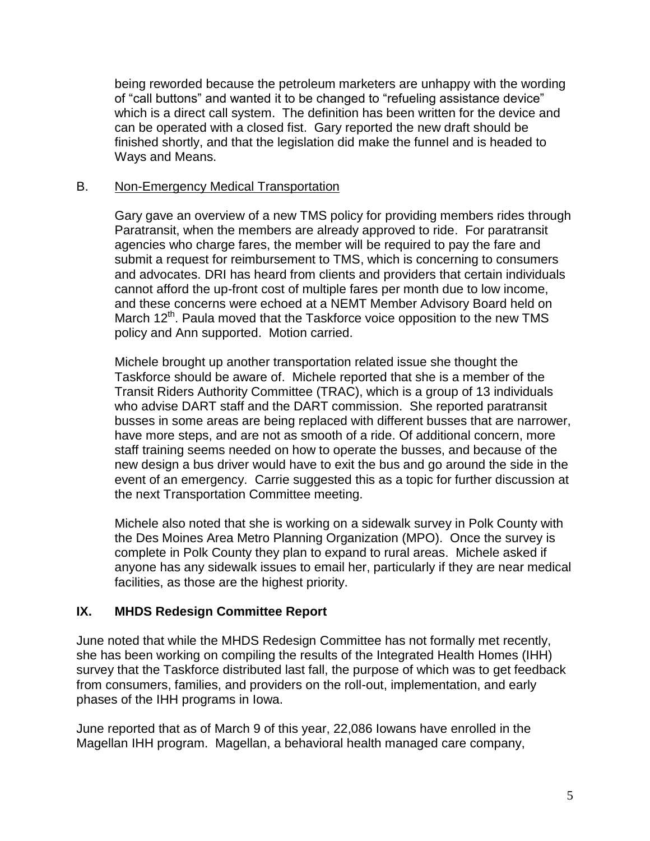being reworded because the petroleum marketers are unhappy with the wording of "call buttons" and wanted it to be changed to "refueling assistance device" which is a direct call system. The definition has been written for the device and can be operated with a closed fist. Gary reported the new draft should be finished shortly, and that the legislation did make the funnel and is headed to Ways and Means.

### B. Non-Emergency Medical Transportation

Gary gave an overview of a new TMS policy for providing members rides through Paratransit, when the members are already approved to ride. For paratransit agencies who charge fares, the member will be required to pay the fare and submit a request for reimbursement to TMS, which is concerning to consumers and advocates. DRI has heard from clients and providers that certain individuals cannot afford the up-front cost of multiple fares per month due to low income, and these concerns were echoed at a NEMT Member Advisory Board held on March 12<sup>th</sup>. Paula moved that the Taskforce voice opposition to the new TMS policy and Ann supported. Motion carried.

Michele brought up another transportation related issue she thought the Taskforce should be aware of. Michele reported that she is a member of the Transit Riders Authority Committee (TRAC), which is a group of 13 individuals who advise DART staff and the DART commission. She reported paratransit busses in some areas are being replaced with different busses that are narrower, have more steps, and are not as smooth of a ride. Of additional concern, more staff training seems needed on how to operate the busses, and because of the new design a bus driver would have to exit the bus and go around the side in the event of an emergency. Carrie suggested this as a topic for further discussion at the next Transportation Committee meeting.

Michele also noted that she is working on a sidewalk survey in Polk County with the Des Moines Area Metro Planning Organization (MPO). Once the survey is complete in Polk County they plan to expand to rural areas. Michele asked if anyone has any sidewalk issues to email her, particularly if they are near medical facilities, as those are the highest priority.

## **IX. MHDS Redesign Committee Report**

June noted that while the MHDS Redesign Committee has not formally met recently, she has been working on compiling the results of the Integrated Health Homes (IHH) survey that the Taskforce distributed last fall, the purpose of which was to get feedback from consumers, families, and providers on the roll-out, implementation, and early phases of the IHH programs in Iowa.

June reported that as of March 9 of this year, 22,086 Iowans have enrolled in the Magellan IHH program. Magellan, a behavioral health managed care company,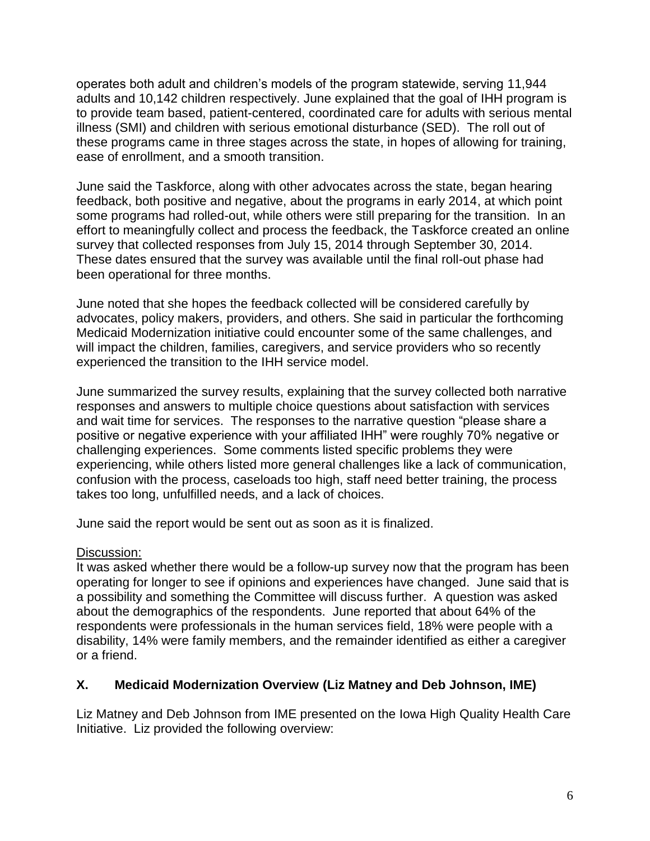operates both adult and children's models of the program statewide, serving 11,944 adults and 10,142 children respectively. June explained that the goal of IHH program is to provide team based, patient-centered, coordinated care for adults with serious mental illness (SMI) and children with serious emotional disturbance (SED). The roll out of these programs came in three stages across the state, in hopes of allowing for training, ease of enrollment, and a smooth transition.

June said the Taskforce, along with other advocates across the state, began hearing feedback, both positive and negative, about the programs in early 2014, at which point some programs had rolled-out, while others were still preparing for the transition. In an effort to meaningfully collect and process the feedback, the Taskforce created an online survey that collected responses from July 15, 2014 through September 30, 2014. These dates ensured that the survey was available until the final roll-out phase had been operational for three months.

June noted that she hopes the feedback collected will be considered carefully by advocates, policy makers, providers, and others. She said in particular the forthcoming Medicaid Modernization initiative could encounter some of the same challenges, and will impact the children, families, caregivers, and service providers who so recently experienced the transition to the IHH service model.

June summarized the survey results, explaining that the survey collected both narrative responses and answers to multiple choice questions about satisfaction with services and wait time for services. The responses to the narrative question "please share a positive or negative experience with your affiliated IHH" were roughly 70% negative or challenging experiences. Some comments listed specific problems they were experiencing, while others listed more general challenges like a lack of communication, confusion with the process, caseloads too high, staff need better training, the process takes too long, unfulfilled needs, and a lack of choices.

June said the report would be sent out as soon as it is finalized.

## Discussion:

It was asked whether there would be a follow-up survey now that the program has been operating for longer to see if opinions and experiences have changed. June said that is a possibility and something the Committee will discuss further. A question was asked about the demographics of the respondents. June reported that about 64% of the respondents were professionals in the human services field, 18% were people with a disability, 14% were family members, and the remainder identified as either a caregiver or a friend.

## **X. Medicaid Modernization Overview (Liz Matney and Deb Johnson, IME)**

Liz Matney and Deb Johnson from IME presented on the Iowa High Quality Health Care Initiative. Liz provided the following overview: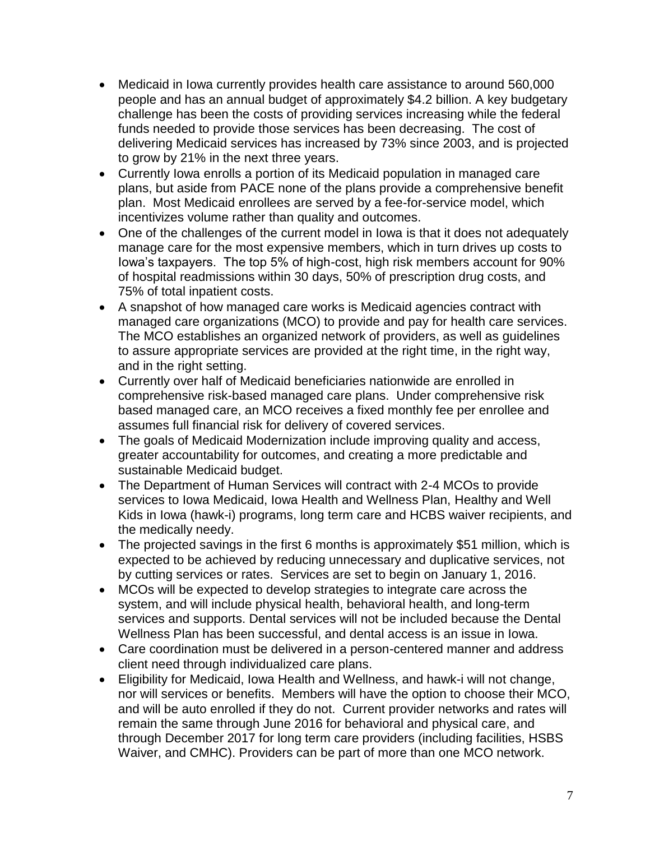- Medicaid in Iowa currently provides health care assistance to around 560,000 people and has an annual budget of approximately \$4.2 billion. A key budgetary challenge has been the costs of providing services increasing while the federal funds needed to provide those services has been decreasing. The cost of delivering Medicaid services has increased by 73% since 2003, and is projected to grow by 21% in the next three years.
- Currently Iowa enrolls a portion of its Medicaid population in managed care plans, but aside from PACE none of the plans provide a comprehensive benefit plan. Most Medicaid enrollees are served by a fee-for-service model, which incentivizes volume rather than quality and outcomes.
- One of the challenges of the current model in Iowa is that it does not adequately manage care for the most expensive members, which in turn drives up costs to Iowa's taxpayers. The top 5% of high-cost, high risk members account for 90% of hospital readmissions within 30 days, 50% of prescription drug costs, and 75% of total inpatient costs.
- A snapshot of how managed care works is Medicaid agencies contract with managed care organizations (MCO) to provide and pay for health care services. The MCO establishes an organized network of providers, as well as guidelines to assure appropriate services are provided at the right time, in the right way, and in the right setting.
- Currently over half of Medicaid beneficiaries nationwide are enrolled in comprehensive risk-based managed care plans. Under comprehensive risk based managed care, an MCO receives a fixed monthly fee per enrollee and assumes full financial risk for delivery of covered services.
- The goals of Medicaid Modernization include improving quality and access, greater accountability for outcomes, and creating a more predictable and sustainable Medicaid budget.
- The Department of Human Services will contract with 2-4 MCOs to provide services to Iowa Medicaid, Iowa Health and Wellness Plan, Healthy and Well Kids in Iowa (hawk-i) programs, long term care and HCBS waiver recipients, and the medically needy.
- The projected savings in the first 6 months is approximately \$51 million, which is expected to be achieved by reducing unnecessary and duplicative services, not by cutting services or rates. Services are set to begin on January 1, 2016.
- MCOs will be expected to develop strategies to integrate care across the system, and will include physical health, behavioral health, and long-term services and supports. Dental services will not be included because the Dental Wellness Plan has been successful, and dental access is an issue in Iowa.
- Care coordination must be delivered in a person-centered manner and address client need through individualized care plans.
- Eligibility for Medicaid, Iowa Health and Wellness, and hawk-i will not change, nor will services or benefits. Members will have the option to choose their MCO, and will be auto enrolled if they do not. Current provider networks and rates will remain the same through June 2016 for behavioral and physical care, and through December 2017 for long term care providers (including facilities, HSBS Waiver, and CMHC). Providers can be part of more than one MCO network.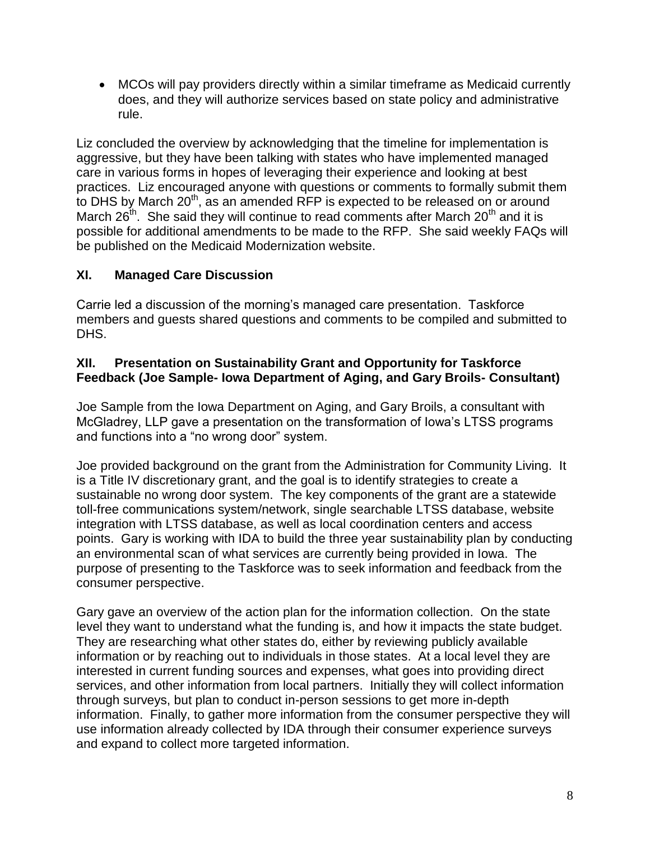MCOs will pay providers directly within a similar timeframe as Medicaid currently does, and they will authorize services based on state policy and administrative rule.

Liz concluded the overview by acknowledging that the timeline for implementation is aggressive, but they have been talking with states who have implemented managed care in various forms in hopes of leveraging their experience and looking at best practices. Liz encouraged anyone with questions or comments to formally submit them to DHS by March 20<sup>th</sup>, as an amended RFP is expected to be released on or around March  $26<sup>th</sup>$ . She said they will continue to read comments after March  $20<sup>th</sup>$  and it is possible for additional amendments to be made to the RFP. She said weekly FAQs will be published on the Medicaid Modernization website.

# **XI. Managed Care Discussion**

Carrie led a discussion of the morning's managed care presentation. Taskforce members and guests shared questions and comments to be compiled and submitted to DHS.

### **XII. Presentation on Sustainability Grant and Opportunity for Taskforce Feedback (Joe Sample- Iowa Department of Aging, and Gary Broils- Consultant)**

Joe Sample from the Iowa Department on Aging, and Gary Broils, a consultant with McGladrey, LLP gave a presentation on the transformation of Iowa's LTSS programs and functions into a "no wrong door" system.

Joe provided background on the grant from the Administration for Community Living. It is a Title IV discretionary grant, and the goal is to identify strategies to create a sustainable no wrong door system. The key components of the grant are a statewide toll-free communications system/network, single searchable LTSS database, website integration with LTSS database, as well as local coordination centers and access points. Gary is working with IDA to build the three year sustainability plan by conducting an environmental scan of what services are currently being provided in Iowa. The purpose of presenting to the Taskforce was to seek information and feedback from the consumer perspective.

Gary gave an overview of the action plan for the information collection. On the state level they want to understand what the funding is, and how it impacts the state budget. They are researching what other states do, either by reviewing publicly available information or by reaching out to individuals in those states. At a local level they are interested in current funding sources and expenses, what goes into providing direct services, and other information from local partners. Initially they will collect information through surveys, but plan to conduct in-person sessions to get more in-depth information. Finally, to gather more information from the consumer perspective they will use information already collected by IDA through their consumer experience surveys and expand to collect more targeted information.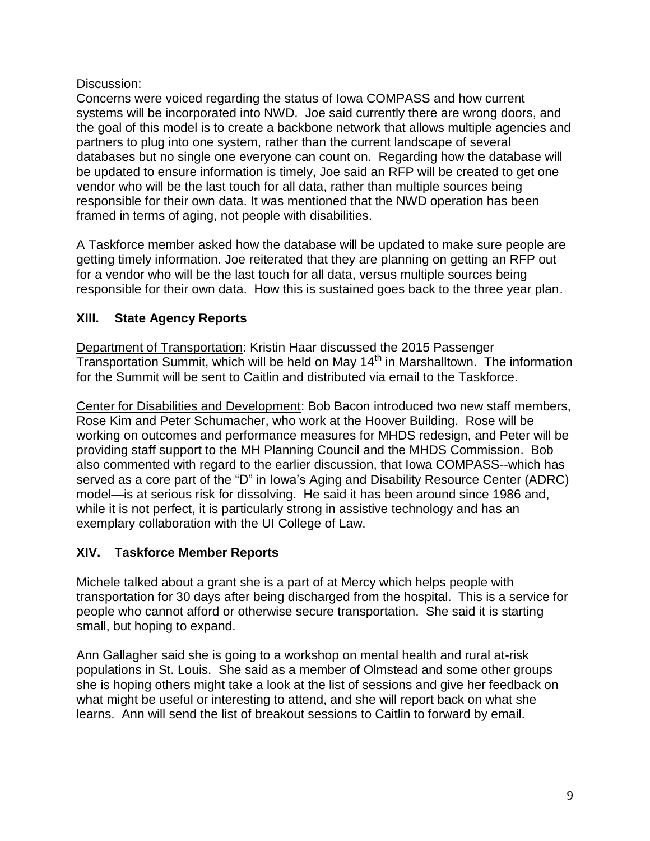# Discussion:

Concerns were voiced regarding the status of Iowa COMPASS and how current systems will be incorporated into NWD. Joe said currently there are wrong doors, and the goal of this model is to create a backbone network that allows multiple agencies and partners to plug into one system, rather than the current landscape of several databases but no single one everyone can count on. Regarding how the database will be updated to ensure information is timely, Joe said an RFP will be created to get one vendor who will be the last touch for all data, rather than multiple sources being responsible for their own data. It was mentioned that the NWD operation has been framed in terms of aging, not people with disabilities.

A Taskforce member asked how the database will be updated to make sure people are getting timely information. Joe reiterated that they are planning on getting an RFP out for a vendor who will be the last touch for all data, versus multiple sources being responsible for their own data. How this is sustained goes back to the three year plan.

# **XIII. State Agency Reports**

Department of Transportation: Kristin Haar discussed the 2015 Passenger  $Tran$ sportation Summit, which will be held on May  $14<sup>th</sup>$  in Marshalltown. The information for the Summit will be sent to Caitlin and distributed via email to the Taskforce.

Center for Disabilities and Development: Bob Bacon introduced two new staff members, Rose Kim and Peter Schumacher, who work at the Hoover Building. Rose will be working on outcomes and performance measures for MHDS redesign, and Peter will be providing staff support to the MH Planning Council and the MHDS Commission. Bob also commented with regard to the earlier discussion, that Iowa COMPASS--which has served as a core part of the "D" in Iowa's Aging and Disability Resource Center (ADRC) model—is at serious risk for dissolving. He said it has been around since 1986 and, while it is not perfect, it is particularly strong in assistive technology and has an exemplary collaboration with the UI College of Law.

# **XIV. Taskforce Member Reports**

Michele talked about a grant she is a part of at Mercy which helps people with transportation for 30 days after being discharged from the hospital. This is a service for people who cannot afford or otherwise secure transportation. She said it is starting small, but hoping to expand.

Ann Gallagher said she is going to a workshop on mental health and rural at-risk populations in St. Louis. She said as a member of Olmstead and some other groups she is hoping others might take a look at the list of sessions and give her feedback on what might be useful or interesting to attend, and she will report back on what she learns. Ann will send the list of breakout sessions to Caitlin to forward by email.